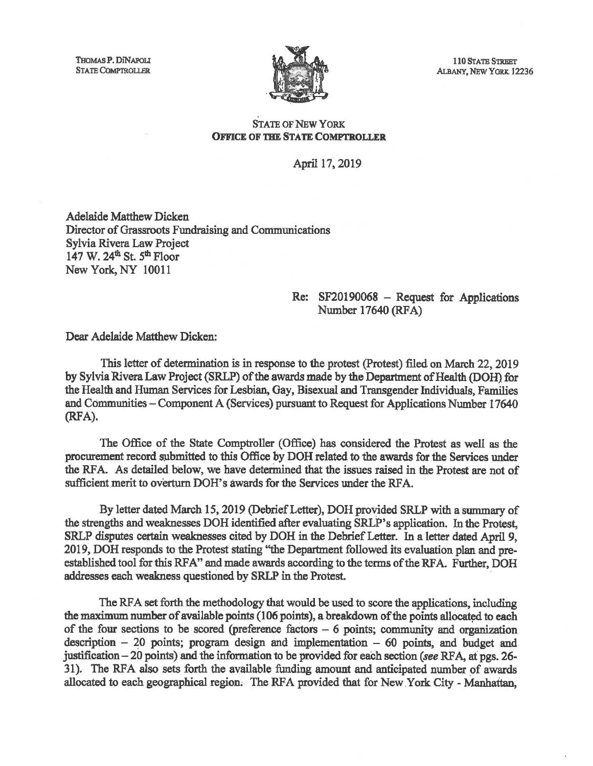THOMAS P. DINAPOLI STATE COMPTROLLER



110 STATE STREET ALBANY, NEW YORK 12236

## OFFICE OF THE STATE COMPTROLLER

April 17, 2019

Adelaide Matthew Dicken Director of Grassroots Fundraising and Communications Sylvia Rivera Law Project 147 W. 24<sup>th</sup> St. 5<sup>th</sup> Floor New York, NY 10011

## Re: SF20190068 - Request for Applications Number 17640 (RFA)

Dear Adelaide Matthew Dicken:

This letter of determination is in response to the protest (Protest) filed on March 22, 2019 by Sylvia Rivera Law Project (SRLP) of the awards made by the Department of Health (DOH) for the Health and Human Services for Lesbian, Gay, Bisexual and Transgender Individuals, Families and Communities – Component A (Services) pursuant to Request for Applications Number 17640 (RFA).

The Office of the State Comptroller (Office) has considered the Protest as well as the procurement record submitted to this Office by DOH related to the awards for the Services under the RFA. As detailed below, we have determined that the issues raised in the Protest are not of sufficient merit to overturn DOH's awards for the Services under the RFA.

By letter dated March 15, 2019 (Debrief Letter), DOH provided SRLP with a summary of the strengths and weaknesses DOH identified after evaluating SRLP's application. In the Protest, SRLP disputes certain weaknesses cited by DOH in the Debrief Letter. In a letter dated April 9, 2019, DOH responds to the Protest stating "the Department followed its evaluation plan and preestablished tool for this RFA" and made awards according to the terms of the RFA. Further, DOH addresses each weakness questioned by SRLP in the Protest.

The RFA set forth the methodology that would be used to score the applications, including the maximum number of available points (106 points), a breakdown of the points allocated to each of the four sections to be scored (preference factors  $-6$  points; community and organization description  $-20$  points; program design and implementation  $-60$  points, and budget and justification - 20 points) and the information to be provided for each section *(see* RF A, at pgs. 26- 31). The RFA also sets forth the available funding amount and anticipated number of awards allocated to each geographical region. The RFA provided that for New York City - Manhattan,